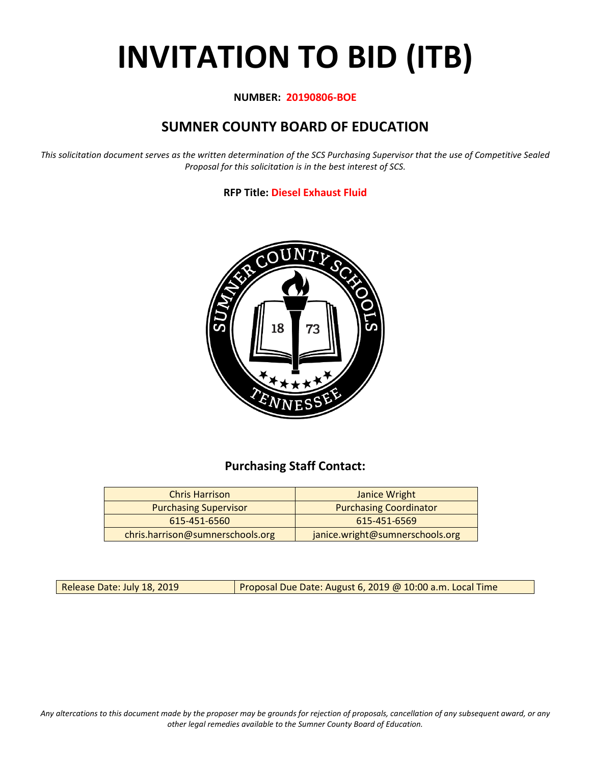# **INVITATION TO BID (ITB)**

#### **NUMBER: 20190806-BOE**

## **SUMNER COUNTY BOARD OF EDUCATION**

*This solicitation document serves as the written determination of the SCS Purchasing Supervisor that the use of Competitive Sealed Proposal for this solicitation is in the best interest of SCS.*

#### **RFP Title: Diesel Exhaust Fluid**



## **Purchasing Staff Contact:**

| <b>Chris Harrison</b>            | Janice Wright                   |
|----------------------------------|---------------------------------|
| <b>Purchasing Supervisor</b>     | <b>Purchasing Coordinator</b>   |
| 615-451-6560                     | 615-451-6569                    |
| chris.harrison@sumnerschools.org | janice.wright@sumnerschools.org |

Release Date: July 18, 2019 | Proposal Due Date: August 6, 2019 @ 10:00 a.m. Local Time

*Any altercations to this document made by the proposer may be grounds for rejection of proposals, cancellation of any subsequent award, or any other legal remedies available to the Sumner County Board of Education.*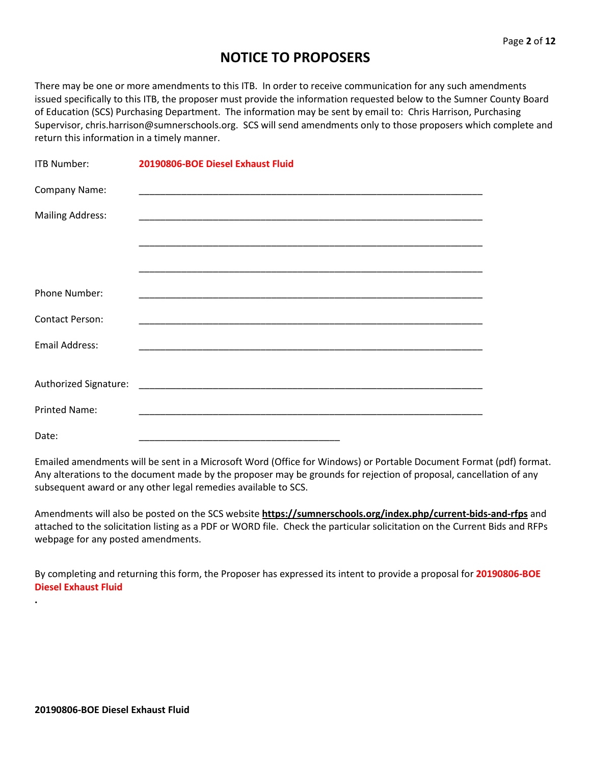## **NOTICE TO PROPOSERS**

There may be one or more amendments to this ITB. In order to receive communication for any such amendments issued specifically to this ITB, the proposer must provide the information requested below to the Sumner County Board of Education (SCS) Purchasing Department. The information may be sent by email to: Chris Harrison, Purchasing Supervisor, chris.harrison@sumnerschools.org. SCS will send amendments only to those proposers which complete and return this information in a timely manner.

| ITB Number:             | 20190806-BOE Diesel Exhaust Fluid                                                                                  |  |  |
|-------------------------|--------------------------------------------------------------------------------------------------------------------|--|--|
| Company Name:           |                                                                                                                    |  |  |
| <b>Mailing Address:</b> |                                                                                                                    |  |  |
|                         | <u> 1990 - Jan James James James James James James James James James James James James James James James James</u> |  |  |
|                         |                                                                                                                    |  |  |
| <b>Phone Number:</b>    |                                                                                                                    |  |  |
| <b>Contact Person:</b>  |                                                                                                                    |  |  |
| <b>Email Address:</b>   |                                                                                                                    |  |  |
|                         |                                                                                                                    |  |  |
| <b>Printed Name:</b>    |                                                                                                                    |  |  |
| Date:                   |                                                                                                                    |  |  |

Emailed amendments will be sent in a Microsoft Word (Office for Windows) or Portable Document Format (pdf) format. Any alterations to the document made by the proposer may be grounds for rejection of proposal, cancellation of any subsequent award or any other legal remedies available to SCS.

Amendments will also be posted on the SCS website **https://sumnerschools.org/index.php/current-bids-and-rfps** and attached to the solicitation listing as a PDF or WORD file. Check the particular solicitation on the Current Bids and RFPs webpage for any posted amendments.

By completing and returning this form, the Proposer has expressed its intent to provide a proposal for **20190806-BOE Diesel Exhaust Fluid**

**.**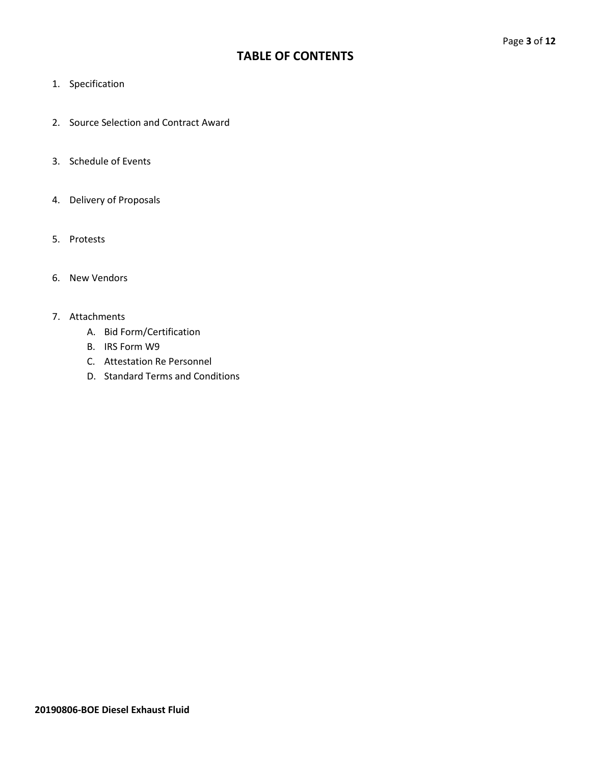## **TABLE OF CONTENTS**

- 1. Specification
- 2. Source Selection and Contract Award
- 3. Schedule of Events
- 4. Delivery of Proposals
- 5. Protests
- 6. New Vendors

#### 7. Attachments

- A. Bid Form/Certification
- B. IRS Form W9
- C. Attestation Re Personnel
- D. Standard Terms and Conditions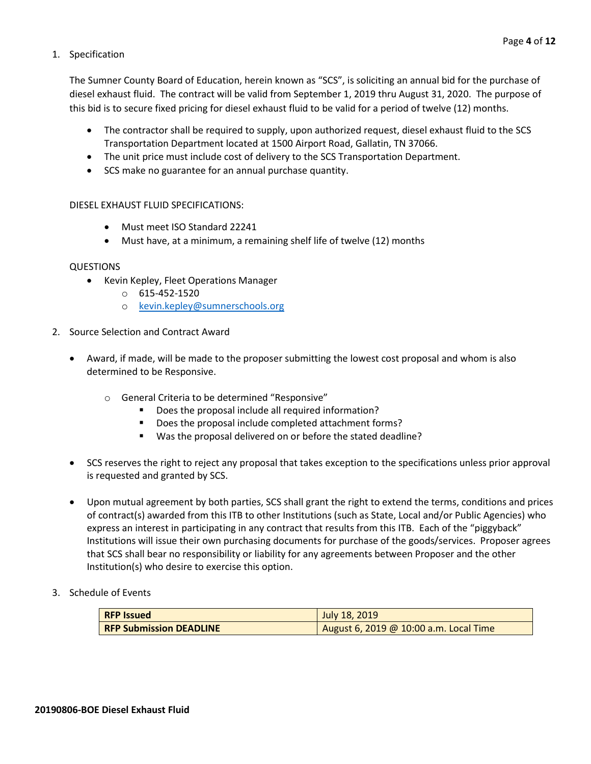#### 1. Specification

The Sumner County Board of Education, herein known as "SCS", is soliciting an annual bid for the purchase of diesel exhaust fluid. The contract will be valid from September 1, 2019 thru August 31, 2020. The purpose of this bid is to secure fixed pricing for diesel exhaust fluid to be valid for a period of twelve (12) months.

- The contractor shall be required to supply, upon authorized request, diesel exhaust fluid to the SCS Transportation Department located at 1500 Airport Road, Gallatin, TN 37066.
- The unit price must include cost of delivery to the SCS Transportation Department.
- SCS make no guarantee for an annual purchase quantity.

#### DIESEL EXHAUST FLUID SPECIFICATIONS:

- Must meet ISO Standard 22241
- Must have, at a minimum, a remaining shelf life of twelve (12) months

#### QUESTIONS

- Kevin Kepley, Fleet Operations Manager
	- $O$  615-452-1520
	- o [kevin.kepley@sumnerschools.org](mailto:kevin.kepley@sumnerschools.org)
- 2. Source Selection and Contract Award
	- Award, if made, will be made to the proposer submitting the lowest cost proposal and whom is also determined to be Responsive.
		- o General Criteria to be determined "Responsive"
			- Does the proposal include all required information?
			- Does the proposal include completed attachment forms?
			- Was the proposal delivered on or before the stated deadline?
	- SCS reserves the right to reject any proposal that takes exception to the specifications unless prior approval is requested and granted by SCS.
	- Upon mutual agreement by both parties, SCS shall grant the right to extend the terms, conditions and prices of contract(s) awarded from this ITB to other Institutions (such as State, Local and/or Public Agencies) who express an interest in participating in any contract that results from this ITB. Each of the "piggyback" Institutions will issue their own purchasing documents for purchase of the goods/services. Proposer agrees that SCS shall bear no responsibility or liability for any agreements between Proposer and the other Institution(s) who desire to exercise this option.
- 3. Schedule of Events

| <b>RFP Issued</b>              | July 18, 2019                          |
|--------------------------------|----------------------------------------|
| <b>RFP Submission DEADLINE</b> | August 6, 2019 @ 10:00 a.m. Local Time |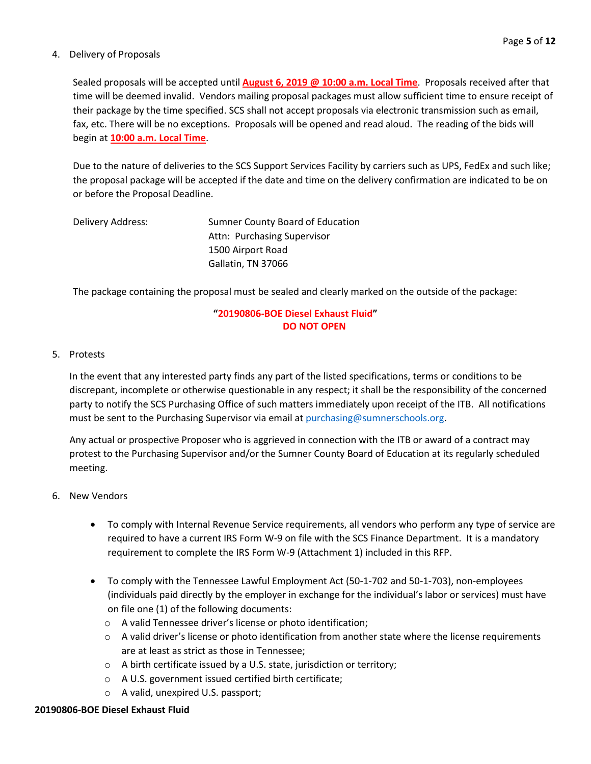#### 4. Delivery of Proposals

Sealed proposals will be accepted until **August 6, 2019 @ 10:00 a.m. Local Time**. Proposals received after that time will be deemed invalid. Vendors mailing proposal packages must allow sufficient time to ensure receipt of their package by the time specified. SCS shall not accept proposals via electronic transmission such as email, fax, etc. There will be no exceptions. Proposals will be opened and read aloud. The reading of the bids will begin at **10:00 a.m. Local Time**.

Due to the nature of deliveries to the SCS Support Services Facility by carriers such as UPS, FedEx and such like; the proposal package will be accepted if the date and time on the delivery confirmation are indicated to be on or before the Proposal Deadline.

| Delivery Address: | Sumner County Board of Education |
|-------------------|----------------------------------|
|                   | Attn: Purchasing Supervisor      |
|                   | 1500 Airport Road                |
|                   | Gallatin, TN 37066               |

The package containing the proposal must be sealed and clearly marked on the outside of the package:

#### **"20190806-BOE Diesel Exhaust Fluid" DO NOT OPEN**

#### 5. Protests

In the event that any interested party finds any part of the listed specifications, terms or conditions to be discrepant, incomplete or otherwise questionable in any respect; it shall be the responsibility of the concerned party to notify the SCS Purchasing Office of such matters immediately upon receipt of the ITB. All notifications must be sent to the Purchasing Supervisor via email at [purchasing@sumnerschools.org.](mailto:purchasing@sumnerschools.org)

Any actual or prospective Proposer who is aggrieved in connection with the ITB or award of a contract may protest to the Purchasing Supervisor and/or the Sumner County Board of Education at its regularly scheduled meeting.

#### 6. New Vendors

- To comply with Internal Revenue Service requirements, all vendors who perform any type of service are required to have a current IRS Form W-9 on file with the SCS Finance Department. It is a mandatory requirement to complete the IRS Form W-9 (Attachment 1) included in this RFP.
- To comply with the Tennessee Lawful Employment Act (50-1-702 and 50-1-703), non-employees (individuals paid directly by the employer in exchange for the individual's labor or services) must have on file one (1) of the following documents:
	- o A valid Tennessee driver's license or photo identification;
	- $\circ$  A valid driver's license or photo identification from another state where the license requirements are at least as strict as those in Tennessee;
	- o A birth certificate issued by a U.S. state, jurisdiction or territory;
	- o A U.S. government issued certified birth certificate;
	- o A valid, unexpired U.S. passport;

#### **20190806-BOE Diesel Exhaust Fluid**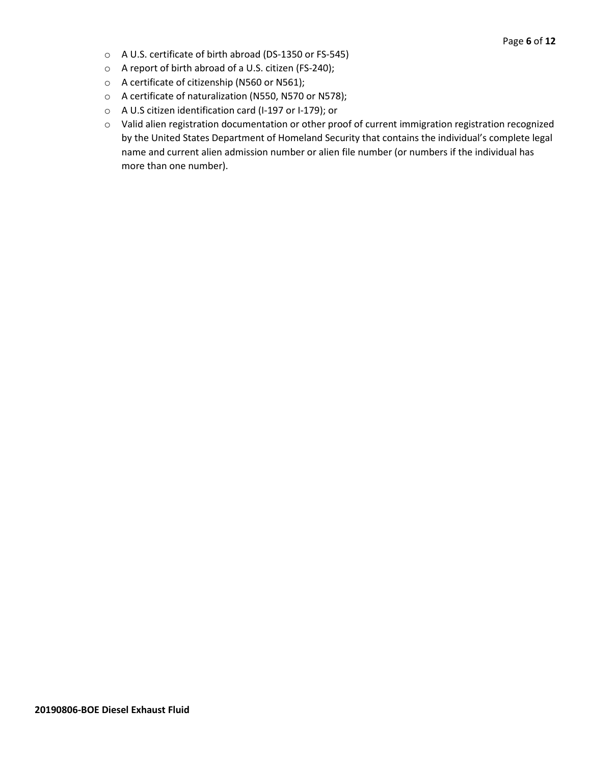- o A U.S. certificate of birth abroad (DS-1350 or FS-545)
- o A report of birth abroad of a U.S. citizen (FS-240);
- o A certificate of citizenship (N560 or N561);
- o A certificate of naturalization (N550, N570 or N578);
- o A U.S citizen identification card (I-197 or I-179); or
- o Valid alien registration documentation or other proof of current immigration registration recognized by the United States Department of Homeland Security that contains the individual's complete legal name and current alien admission number or alien file number (or numbers if the individual has more than one number).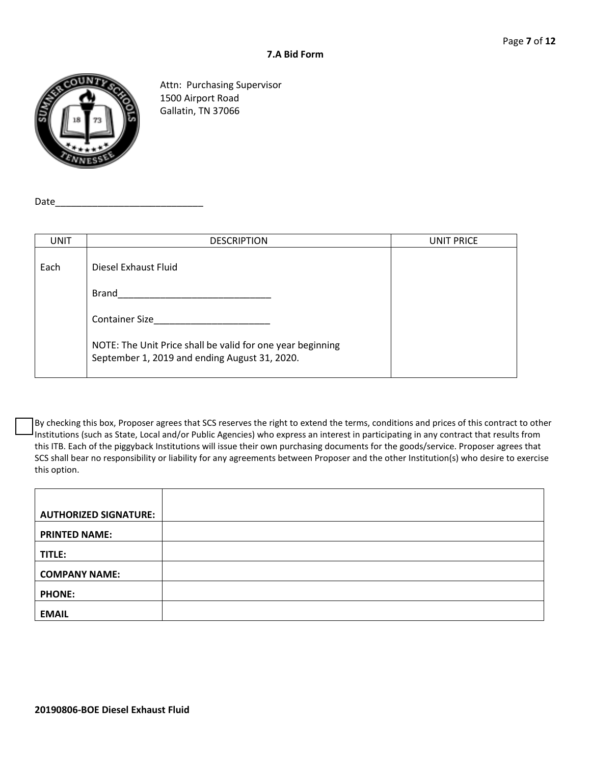

Attn: Purchasing Supervisor 1500 Airport Road Gallatin, TN 37066

 $Date_$ 

| <b>UNIT</b> | <b>DESCRIPTION</b>                                                                                          | <b>UNIT PRICE</b> |
|-------------|-------------------------------------------------------------------------------------------------------------|-------------------|
| Each        | Diesel Exhaust Fluid                                                                                        |                   |
|             | Brand                                                                                                       |                   |
|             | <b>Container Size</b>                                                                                       |                   |
|             | NOTE: The Unit Price shall be valid for one year beginning<br>September 1, 2019 and ending August 31, 2020. |                   |

By checking this box, Proposer agrees that SCS reserves the right to extend the terms, conditions and prices of this contract to other Institutions (such as State, Local and/or Public Agencies) who express an interest in participating in any contract that results from this ITB. Each of the piggyback Institutions will issue their own purchasing documents for the goods/service. Proposer agrees that SCS shall bear no responsibility or liability for any agreements between Proposer and the other Institution(s) who desire to exercise this option.

| <b>AUTHORIZED SIGNATURE:</b> |  |
|------------------------------|--|
| <b>PRINTED NAME:</b>         |  |
| TITLE:                       |  |
| <b>COMPANY NAME:</b>         |  |
| <b>PHONE:</b>                |  |
| <b>EMAIL</b>                 |  |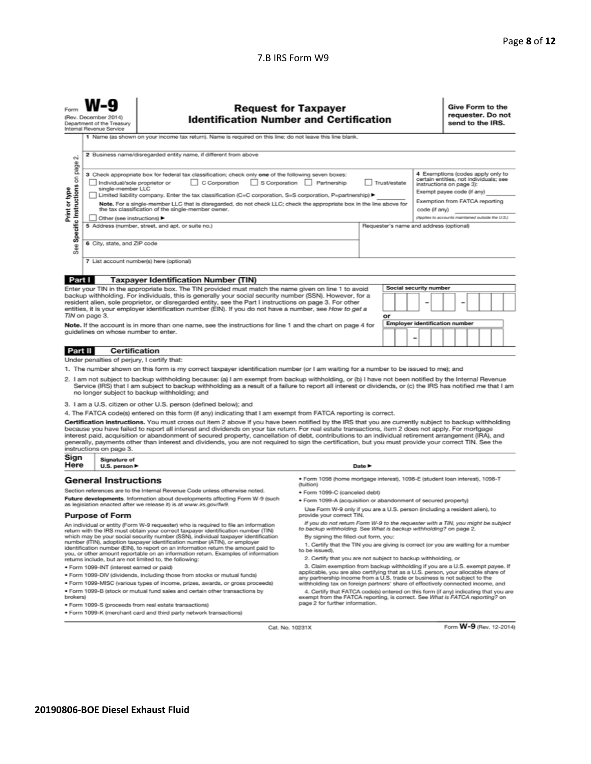#### 7.B IRS Form W9

| Form                                                                                                                                                                                                                                                                                                                                                                                                                                                                                                                                                                                                                                                                                                                                                                   | <b>Request for Taxpayer</b><br>(Rev. December 2014)<br><b>Identification Number and Certification</b><br>Department of the Treasury<br>Internal Revenue Service |                                                                                                                                                                                                                                                                                                                                              |                                                                                                                                                                                                                                                                                    |                                         |                                                   |  |  | Give Form to the<br>requester. Do not<br>send to the IRS. |  |  |  |  |
|------------------------------------------------------------------------------------------------------------------------------------------------------------------------------------------------------------------------------------------------------------------------------------------------------------------------------------------------------------------------------------------------------------------------------------------------------------------------------------------------------------------------------------------------------------------------------------------------------------------------------------------------------------------------------------------------------------------------------------------------------------------------|-----------------------------------------------------------------------------------------------------------------------------------------------------------------|----------------------------------------------------------------------------------------------------------------------------------------------------------------------------------------------------------------------------------------------------------------------------------------------------------------------------------------------|------------------------------------------------------------------------------------------------------------------------------------------------------------------------------------------------------------------------------------------------------------------------------------|-----------------------------------------|---------------------------------------------------|--|--|-----------------------------------------------------------|--|--|--|--|
|                                                                                                                                                                                                                                                                                                                                                                                                                                                                                                                                                                                                                                                                                                                                                                        |                                                                                                                                                                 | 1 Name (as shown on your income tax return). Name is required on this line; do not leave this line blank.                                                                                                                                                                                                                                    |                                                                                                                                                                                                                                                                                    |                                         |                                                   |  |  |                                                           |  |  |  |  |
| σû                                                                                                                                                                                                                                                                                                                                                                                                                                                                                                                                                                                                                                                                                                                                                                     |                                                                                                                                                                 | 2 Business name/disregarded entity name, if different from above                                                                                                                                                                                                                                                                             |                                                                                                                                                                                                                                                                                    |                                         |                                                   |  |  |                                                           |  |  |  |  |
| page<br>4 Exemptions (codes apply only to<br>3 Check appropriate box for federal tax classification; check only one of the following seven boxes:<br>Specific Instructions on<br>certain entities, not individuals; see<br>S Corporation Partnership<br>Individual/sole proprietor or<br>C Corporation<br>Trust/estate<br>instructions on page 3):<br>single-member LLC<br>Print or type<br>Exempt payee code (if any)<br>Limited liability company. Enter the tax classification (C=C corporation, S=S corporation, P=partnership) ▶<br>Exemption from FATCA reporting<br>Note. For a single-member LLC that is disregarded, do not check LLC; check the appropriate box in the line above for<br>the tax classification of the single-member owner.<br>code (if any) |                                                                                                                                                                 |                                                                                                                                                                                                                                                                                                                                              |                                                                                                                                                                                                                                                                                    |                                         | (Applies to accounts maintained outside the U.S.) |  |  |                                                           |  |  |  |  |
|                                                                                                                                                                                                                                                                                                                                                                                                                                                                                                                                                                                                                                                                                                                                                                        | Other (see instructions)                                                                                                                                        | 5 Address (number, street, and apt. or suite no.)                                                                                                                                                                                                                                                                                            |                                                                                                                                                                                                                                                                                    | Requester's name and address (optional) |                                                   |  |  |                                                           |  |  |  |  |
|                                                                                                                                                                                                                                                                                                                                                                                                                                                                                                                                                                                                                                                                                                                                                                        |                                                                                                                                                                 |                                                                                                                                                                                                                                                                                                                                              |                                                                                                                                                                                                                                                                                    |                                         |                                                   |  |  |                                                           |  |  |  |  |
| See:                                                                                                                                                                                                                                                                                                                                                                                                                                                                                                                                                                                                                                                                                                                                                                   | 6 City, state, and ZIP code                                                                                                                                     |                                                                                                                                                                                                                                                                                                                                              |                                                                                                                                                                                                                                                                                    |                                         |                                                   |  |  |                                                           |  |  |  |  |
|                                                                                                                                                                                                                                                                                                                                                                                                                                                                                                                                                                                                                                                                                                                                                                        |                                                                                                                                                                 | 7 List account number(s) here (optional)                                                                                                                                                                                                                                                                                                     |                                                                                                                                                                                                                                                                                    |                                         |                                                   |  |  |                                                           |  |  |  |  |
| Part I                                                                                                                                                                                                                                                                                                                                                                                                                                                                                                                                                                                                                                                                                                                                                                 |                                                                                                                                                                 | <b>Taxpayer Identification Number (TIN)</b>                                                                                                                                                                                                                                                                                                  |                                                                                                                                                                                                                                                                                    |                                         |                                                   |  |  |                                                           |  |  |  |  |
| Social security number<br>Enter your TIN in the appropriate box. The TIN provided must match the name given on line 1 to avoid<br>backup withholding. For individuals, this is generally your social security number (SSN). However, for a<br>resident alien, sole proprietor, or disregarded entity, see the Part I instructions on page 3. For other<br>entities, it is your employer identification number (EIN). If you do not have a number, see How to get a<br>TIN on page 3.<br>or<br><b>Employer identification number</b><br>Note. If the account is in more than one name, see the instructions for line 1 and the chart on page 4 for<br>quidelines on whose number to enter.<br>$\overline{\phantom{0}}$<br>Certification<br>Part II                      |                                                                                                                                                                 |                                                                                                                                                                                                                                                                                                                                              |                                                                                                                                                                                                                                                                                    |                                         |                                                   |  |  |                                                           |  |  |  |  |
|                                                                                                                                                                                                                                                                                                                                                                                                                                                                                                                                                                                                                                                                                                                                                                        | Under penalties of perjury, I certify that:                                                                                                                     |                                                                                                                                                                                                                                                                                                                                              |                                                                                                                                                                                                                                                                                    |                                         |                                                   |  |  |                                                           |  |  |  |  |
|                                                                                                                                                                                                                                                                                                                                                                                                                                                                                                                                                                                                                                                                                                                                                                        |                                                                                                                                                                 | 1. The number shown on this form is my correct taxpayer identification number (or I am waiting for a number to be issued to me); and                                                                                                                                                                                                         |                                                                                                                                                                                                                                                                                    |                                         |                                                   |  |  |                                                           |  |  |  |  |
| 2. I am not subject to backup withholding because: (a) I am exempt from backup withholding, or (b) I have not been notified by the Internal Revenue<br>Service (IRS) that I am subject to backup withholding as a result of a failure to report all interest or dividends, or (c) the IRS has notified me that I am<br>no longer subject to backup withholding; and                                                                                                                                                                                                                                                                                                                                                                                                    |                                                                                                                                                                 |                                                                                                                                                                                                                                                                                                                                              |                                                                                                                                                                                                                                                                                    |                                         |                                                   |  |  |                                                           |  |  |  |  |
|                                                                                                                                                                                                                                                                                                                                                                                                                                                                                                                                                                                                                                                                                                                                                                        |                                                                                                                                                                 | 3. I am a U.S. citizen or other U.S. person (defined below); and                                                                                                                                                                                                                                                                             |                                                                                                                                                                                                                                                                                    |                                         |                                                   |  |  |                                                           |  |  |  |  |
|                                                                                                                                                                                                                                                                                                                                                                                                                                                                                                                                                                                                                                                                                                                                                                        |                                                                                                                                                                 | 4. The FATCA code(s) entered on this form (if any) indicating that I am exempt from FATCA reporting is correct.                                                                                                                                                                                                                              |                                                                                                                                                                                                                                                                                    |                                         |                                                   |  |  |                                                           |  |  |  |  |
| Certification instructions. You must cross out item 2 above if you have been notified by the IRS that you are currently subject to backup withholding<br>because you have failed to report all interest and dividends on your tax return. For real estate transactions, item 2 does not apply. For mortgage<br>interest paid, acquisition or abandonment of secured property, cancellation of debt, contributions to an individual retirement arrangement (IRA), and<br>generally, payments other than interest and dividends, you are not required to sign the certification, but you must provide your correct TIN. See the<br>instructions on page 3.                                                                                                               |                                                                                                                                                                 |                                                                                                                                                                                                                                                                                                                                              |                                                                                                                                                                                                                                                                                    |                                         |                                                   |  |  |                                                           |  |  |  |  |
| Sign<br>Here                                                                                                                                                                                                                                                                                                                                                                                                                                                                                                                                                                                                                                                                                                                                                           | Signature of<br>U.S. person                                                                                                                                     |                                                                                                                                                                                                                                                                                                                                              |                                                                                                                                                                                                                                                                                    | Date P                                  |                                                   |  |  |                                                           |  |  |  |  |
|                                                                                                                                                                                                                                                                                                                                                                                                                                                                                                                                                                                                                                                                                                                                                                        | <b>General Instructions</b>                                                                                                                                     |                                                                                                                                                                                                                                                                                                                                              | · Form 1098 (home mortgage interest), 1098-E (student Ioan interest), 1098-T<br>(tuition)                                                                                                                                                                                          |                                         |                                                   |  |  |                                                           |  |  |  |  |
| Section references are to the Internal Revenue Code unless otherwise noted.<br>· Form 1099-C (canceled debt)                                                                                                                                                                                                                                                                                                                                                                                                                                                                                                                                                                                                                                                           |                                                                                                                                                                 |                                                                                                                                                                                                                                                                                                                                              |                                                                                                                                                                                                                                                                                    |                                         |                                                   |  |  |                                                           |  |  |  |  |
|                                                                                                                                                                                                                                                                                                                                                                                                                                                                                                                                                                                                                                                                                                                                                                        |                                                                                                                                                                 | Future developments. Information about developments affecting Form W-9 (such<br>as legislation enacted after we release it) is at www.irs.gov/fw9.                                                                                                                                                                                           | · Form 1099-A (acquisition or abandonment of secured property)                                                                                                                                                                                                                     |                                         |                                                   |  |  |                                                           |  |  |  |  |
|                                                                                                                                                                                                                                                                                                                                                                                                                                                                                                                                                                                                                                                                                                                                                                        | <b>Purpose of Form</b>                                                                                                                                          |                                                                                                                                                                                                                                                                                                                                              | Use Form W-9 only if you are a U.S. person (including a resident alien), to<br>provide your correct TIN.                                                                                                                                                                           |                                         |                                                   |  |  |                                                           |  |  |  |  |
|                                                                                                                                                                                                                                                                                                                                                                                                                                                                                                                                                                                                                                                                                                                                                                        |                                                                                                                                                                 | An individual or entity (Form W-9 requester) who is required to file an information<br>return with the IRS must obtain your correct taxpayer identification number (TIN)<br>which may be your social security number (SSN), individual taxpayer identification<br>number (ITIN), adoption taxpayer identification number (ATIN), or employer | If you do not return Form W-9 to the requester with a TIN, you might be subject<br>to backup withholding. See What is backup withholding? on page 2.<br>By signing the filled-out form, you:<br>1. Certify that the TIN you are giving is correct (or you are waiting for a number |                                         |                                                   |  |  |                                                           |  |  |  |  |
|                                                                                                                                                                                                                                                                                                                                                                                                                                                                                                                                                                                                                                                                                                                                                                        |                                                                                                                                                                 | identification number (EIN), to report on an information return the amount paid to<br>you, or other amount reportable on an information return. Examples of information                                                                                                                                                                      | to be issued).                                                                                                                                                                                                                                                                     |                                         |                                                   |  |  |                                                           |  |  |  |  |
|                                                                                                                                                                                                                                                                                                                                                                                                                                                                                                                                                                                                                                                                                                                                                                        | returns include, but are not limited to, the following:                                                                                                         |                                                                                                                                                                                                                                                                                                                                              | 2. Certify that you are not subject to backup withholding, or                                                                                                                                                                                                                      |                                         |                                                   |  |  |                                                           |  |  |  |  |

- returns include, but are not limited to, the following: · Form 1099-INT (interest earned or paid)
- . Form 1099-DIV (dividends, including those from stocks or mutual funds)
- · Form 1099-MISC (various types of income, prizes, awards, or gross proceeds)
- . Form 1099-B (stock or mutual fund sales and certain other transactions by brokers)
- · Form 1099-S (proceeds from real estate transactions)
- · Form 1099-K (merchant card and third party network transactions)
- 2. Claim exemption from backup withholding if you are a U.S. exempt payee. If<br>applicable, you are also certifying that as a U.S. person, your allocable share of<br>applicable, you are also certifying that as a U.S. person, yo 4. Certify that FATCA code(s) entered on this form (if any) indicating that you are<br>exempt from the FATCA reporting, is correct. See What is FATCA reporting?<br>page 2 for further information.

Cat. No. 10231X

Form W-9 (Rev. 12-2014)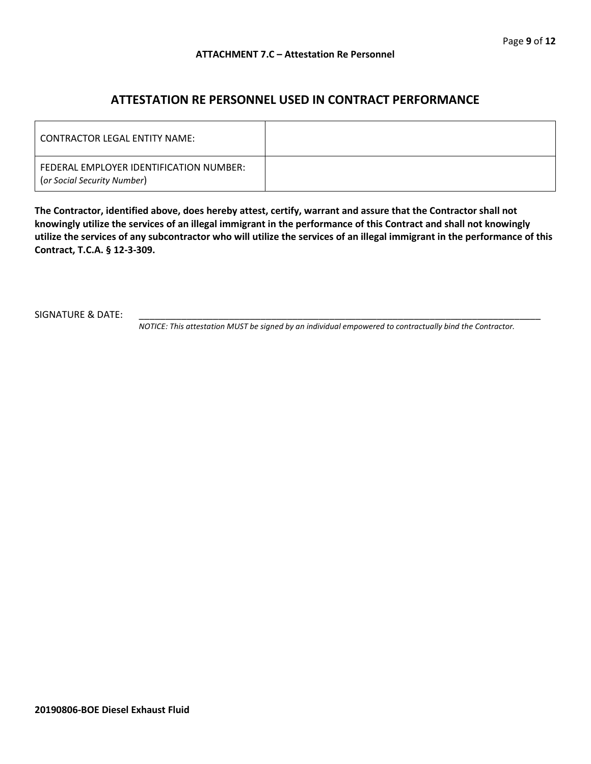### **ATTESTATION RE PERSONNEL USED IN CONTRACT PERFORMANCE**

| LCONTRACTOR LEGAL ENTITY NAME:                                         |  |
|------------------------------------------------------------------------|--|
| FEDERAL EMPLOYER IDENTIFICATION NUMBER:<br>(or Social Security Number) |  |

**The Contractor, identified above, does hereby attest, certify, warrant and assure that the Contractor shall not knowingly utilize the services of an illegal immigrant in the performance of this Contract and shall not knowingly utilize the services of any subcontractor who will utilize the services of an illegal immigrant in the performance of this Contract, T.C.A. § 12-3-309.**

SIGNATURE & DATE:

*NOTICE: This attestation MUST be signed by an individual empowered to contractually bind the Contractor.*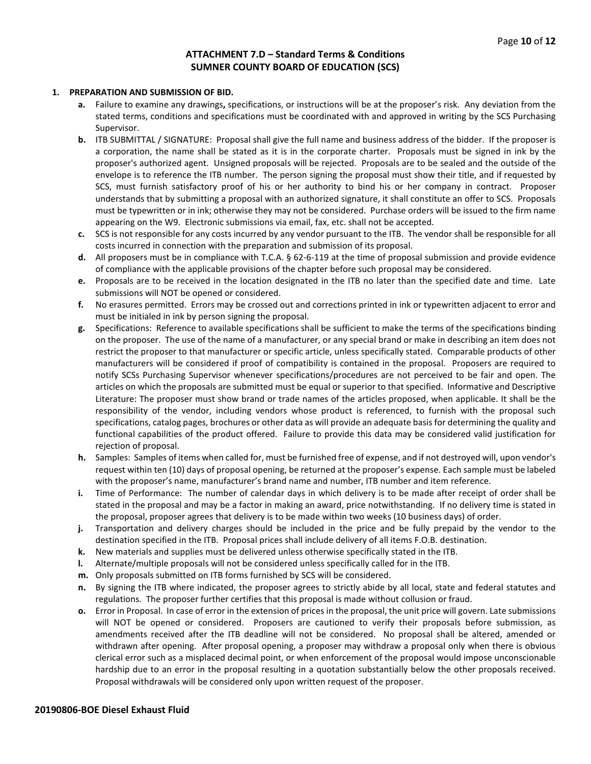#### **ATTACHMENT 7.D – Standard Terms & Conditions SUMNER COUNTY BOARD OF EDUCATION (SCS)**

#### **1. PREPARATION AND SUBMISSION OF BID.**

- **a.** Failure to examine any drawings**,** specifications, or instructions will be at the proposer's risk. Any deviation from the stated terms, conditions and specifications must be coordinated with and approved in writing by the SCS Purchasing Supervisor.
- **b.** ITB SUBMITTAL / SIGNATURE: Proposal shall give the full name and business address of the bidder. If the proposer is a corporation, the name shall be stated as it is in the corporate charter. Proposals must be signed in ink by the proposer's authorized agent. Unsigned proposals will be rejected. Proposals are to be sealed and the outside of the envelope is to reference the ITB number. The person signing the proposal must show their title, and if requested by SCS, must furnish satisfactory proof of his or her authority to bind his or her company in contract. Proposer understands that by submitting a proposal with an authorized signature, it shall constitute an offer to SCS. Proposals must be typewritten or in ink; otherwise they may not be considered. Purchase orders will be issued to the firm name appearing on the W9. Electronic submissions via email, fax, etc. shall not be accepted.
- **c.** SCS is not responsible for any costs incurred by any vendor pursuant to the ITB. The vendor shall be responsible for all costs incurred in connection with the preparation and submission of its proposal.
- **d.** All proposers must be in compliance with T.C.A. § 62-6-119 at the time of proposal submission and provide evidence of compliance with the applicable provisions of the chapter before such proposal may be considered.
- **e.** Proposals are to be received in the location designated in the ITB no later than the specified date and time. Late submissions will NOT be opened or considered.
- **f.** No erasures permitted. Errors may be crossed out and corrections printed in ink or typewritten adjacent to error and must be initialed in ink by person signing the proposal.
- **g.** Specifications: Reference to available specifications shall be sufficient to make the terms of the specifications binding on the proposer. The use of the name of a manufacturer, or any special brand or make in describing an item does not restrict the proposer to that manufacturer or specific article, unless specifically stated. Comparable products of other manufacturers will be considered if proof of compatibility is contained in the proposal. Proposers are required to notify SCSs Purchasing Supervisor whenever specifications/procedures are not perceived to be fair and open. The articles on which the proposals are submitted must be equal or superior to that specified. Informative and Descriptive Literature: The proposer must show brand or trade names of the articles proposed, when applicable. It shall be the responsibility of the vendor, including vendors whose product is referenced, to furnish with the proposal such specifications, catalog pages, brochures or other data as will provide an adequate basis for determining the quality and functional capabilities of the product offered. Failure to provide this data may be considered valid justification for rejection of proposal.
- **h.** Samples: Samples of items when called for, must be furnished free of expense, and if not destroyed will, upon vendor's request within ten (10) days of proposal opening, be returned at the proposer's expense. Each sample must be labeled with the proposer's name, manufacturer's brand name and number, ITB number and item reference.
- **i.** Time of Performance: The number of calendar days in which delivery is to be made after receipt of order shall be stated in the proposal and may be a factor in making an award, price notwithstanding. If no delivery time is stated in the proposal, proposer agrees that delivery is to be made within two weeks (10 business days) of order.
- **j.** Transportation and delivery charges should be included in the price and be fully prepaid by the vendor to the destination specified in the ITB. Proposal prices shall include delivery of all items F.O.B. destination.
- **k.** New materials and supplies must be delivered unless otherwise specifically stated in the ITB.
- **l.** Alternate/multiple proposals will not be considered unless specifically called for in the ITB.
- **m.** Only proposals submitted on ITB forms furnished by SCS will be considered.
- **n.** By signing the ITB where indicated, the proposer agrees to strictly abide by all local, state and federal statutes and regulations. The proposer further certifies that this proposal is made without collusion or fraud.
- **o.** Error in Proposal. In case of error in the extension of prices in the proposal, the unit price will govern. Late submissions will NOT be opened or considered. Proposers are cautioned to verify their proposals before submission, as amendments received after the ITB deadline will not be considered. No proposal shall be altered, amended or withdrawn after opening. After proposal opening, a proposer may withdraw a proposal only when there is obvious clerical error such as a misplaced decimal point, or when enforcement of the proposal would impose unconscionable hardship due to an error in the proposal resulting in a quotation substantially below the other proposals received. Proposal withdrawals will be considered only upon written request of the proposer.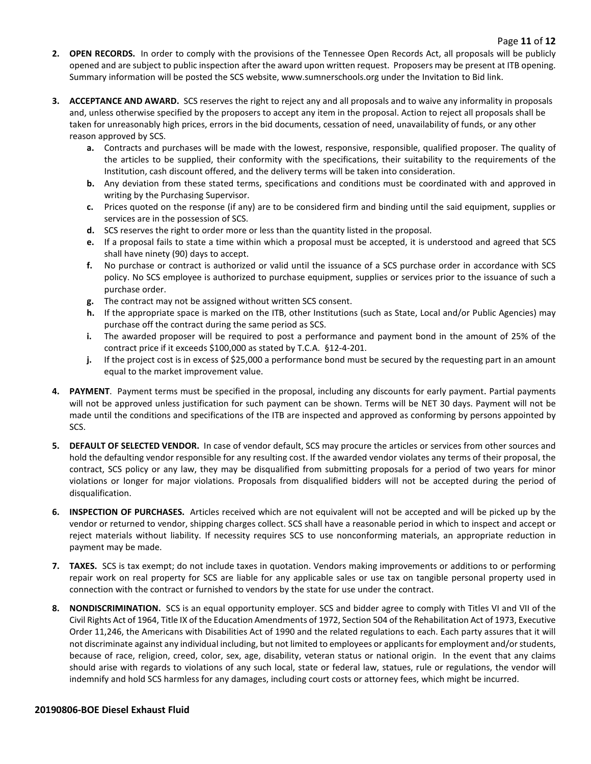- **2. OPEN RECORDS.** In order to comply with the provisions of the Tennessee Open Records Act, all proposals will be publicly opened and are subject to public inspection after the award upon written request. Proposers may be present at ITB opening. Summary information will be posted the SCS website, www.sumnerschools.org under the Invitation to Bid link.
- **3. ACCEPTANCE AND AWARD.** SCS reserves the right to reject any and all proposals and to waive any informality in proposals and, unless otherwise specified by the proposers to accept any item in the proposal. Action to reject all proposals shall be taken for unreasonably high prices, errors in the bid documents, cessation of need, unavailability of funds, or any other reason approved by SCS.
	- **a.** Contracts and purchases will be made with the lowest, responsive, responsible, qualified proposer. The quality of the articles to be supplied, their conformity with the specifications, their suitability to the requirements of the Institution, cash discount offered, and the delivery terms will be taken into consideration.
	- **b.** Any deviation from these stated terms, specifications and conditions must be coordinated with and approved in writing by the Purchasing Supervisor.
	- **c.** Prices quoted on the response (if any) are to be considered firm and binding until the said equipment, supplies or services are in the possession of SCS.
	- **d.** SCS reserves the right to order more or less than the quantity listed in the proposal.
	- **e.** If a proposal fails to state a time within which a proposal must be accepted, it is understood and agreed that SCS shall have ninety (90) days to accept.
	- **f.** No purchase or contract is authorized or valid until the issuance of a SCS purchase order in accordance with SCS policy. No SCS employee is authorized to purchase equipment, supplies or services prior to the issuance of such a purchase order.
	- **g.** The contract may not be assigned without written SCS consent.
	- **h.** If the appropriate space is marked on the ITB, other Institutions (such as State, Local and/or Public Agencies) may purchase off the contract during the same period as SCS.
	- **i.** The awarded proposer will be required to post a performance and payment bond in the amount of 25% of the contract price if it exceeds \$100,000 as stated by T.C.A. §12-4-201.
	- **j.** If the project cost is in excess of \$25,000 a performance bond must be secured by the requesting part in an amount equal to the market improvement value.
- **4. PAYMENT**. Payment terms must be specified in the proposal, including any discounts for early payment. Partial payments will not be approved unless justification for such payment can be shown. Terms will be NET 30 days. Payment will not be made until the conditions and specifications of the ITB are inspected and approved as conforming by persons appointed by SCS.
- **5. DEFAULT OF SELECTED VENDOR.** In case of vendor default, SCS may procure the articles or services from other sources and hold the defaulting vendor responsible for any resulting cost. If the awarded vendor violates any terms of their proposal, the contract, SCS policy or any law, they may be disqualified from submitting proposals for a period of two years for minor violations or longer for major violations. Proposals from disqualified bidders will not be accepted during the period of disqualification.
- **6. INSPECTION OF PURCHASES.** Articles received which are not equivalent will not be accepted and will be picked up by the vendor or returned to vendor, shipping charges collect. SCS shall have a reasonable period in which to inspect and accept or reject materials without liability. If necessity requires SCS to use nonconforming materials, an appropriate reduction in payment may be made.
- **7. TAXES.** SCS is tax exempt; do not include taxes in quotation. Vendors making improvements or additions to or performing repair work on real property for SCS are liable for any applicable sales or use tax on tangible personal property used in connection with the contract or furnished to vendors by the state for use under the contract.
- **8. NONDISCRIMINATION.** SCS is an equal opportunity employer. SCS and bidder agree to comply with Titles VI and VII of the Civil Rights Act of 1964, Title IX of the Education Amendments of 1972, Section 504 of the Rehabilitation Act of 1973, Executive Order 11,246, the Americans with Disabilities Act of 1990 and the related regulations to each. Each party assures that it will not discriminate against any individual including, but not limited to employees or applicants for employment and/or students, because of race, religion, creed, color, sex, age, disability, veteran status or national origin. In the event that any claims should arise with regards to violations of any such local, state or federal law, statues, rule or regulations, the vendor will indemnify and hold SCS harmless for any damages, including court costs or attorney fees, which might be incurred.